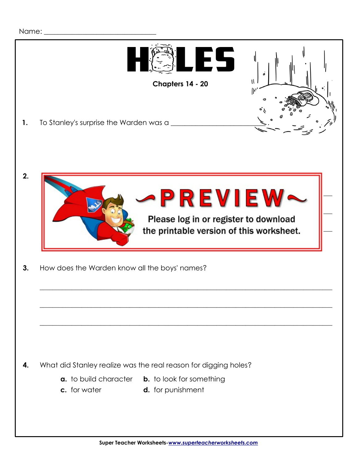## Name:

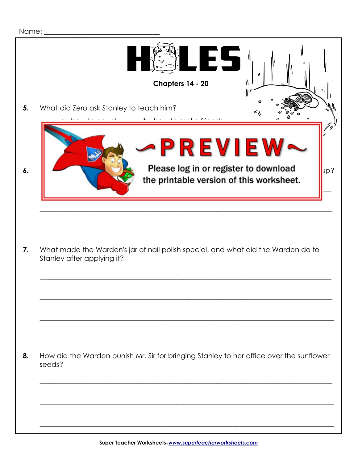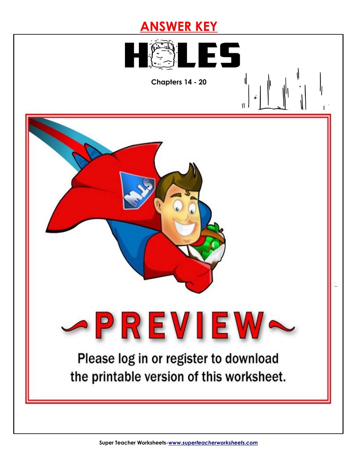## **ANSWER KEY**